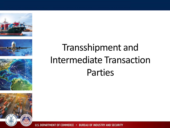







### Transshipment and Intermediate Transaction Parties

U.S. DEPARTMENT OF COMMERCE . BUREAU OF INDUSTRY AND SECURITY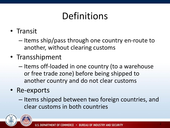### Definitions

• Transit

– Items ship/pass through one country en-route to another, without clearing customs

- Transshipment
	- Items off-loaded in one country (to a warehouse or free trade zone) before being shipped to another country and do not clear customs
- Re-exports
	- Items shipped between two foreign countries, and clear customs in both countries

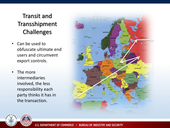#### Transit and Transshipment Challenges

- Can be used to obfuscate ultimate end users and circumvent export controls.
- The more intermediaries involved, the less responsibility each party thinks it has in the transaction.



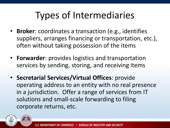### Types of Intermediaries

- **Broker**: coordinates a transaction (e.g., identifies suppliers, arranges financing or transportation, etc.), often without taking possession of the items
- **Forwarder**: provides logistics and transportation services by sending, storing, and receiving items
- **Secretarial Services/Virtual Offices**: provide operating address to an entity with no real presence in a jurisdiction. Offer a range of services from IT solutions and small-scale forwarding to filing corporate returns, etc.

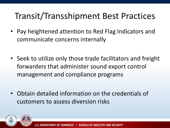### Transit/Transshipment Best Practices

- Pay heightened attention to Red Flag Indicators and communicate concerns internally
- Seek to utilize only those trade facilitators and freight forwarders that administer sound export control management and compliance programs
- Obtain detailed information on the credentials of customers to assess diversion risks

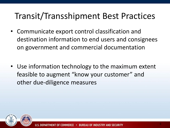#### Transit/Transshipment Best Practices

- Communicate export control classification and destination information to end users and consignees on government and commercial documentation
- Use information technology to the maximum extent feasible to augment "know your customer" and other due-diligence measures

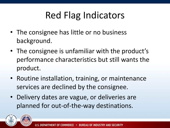### Red Flag Indicators

- The consignee has little or no business background.
- The consignee is unfamiliar with the product's performance characteristics but still wants the product.
- Routine installation, training, or maintenance services are declined by the consignee.
- Delivery dates are vague, or deliveries are planned for out-of-the-way destinations.

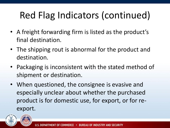## Red Flag Indicators (continued)

- A freight forwarding firm is listed as the product's final destination.
- The shipping rout is abnormal for the product and destination.
- Packaging is inconsistent with the stated method of shipment or destination.
- When questioned, the consignee is evasive and especially unclear about whether the purchased product is for domestic use, for export, or for reexport.